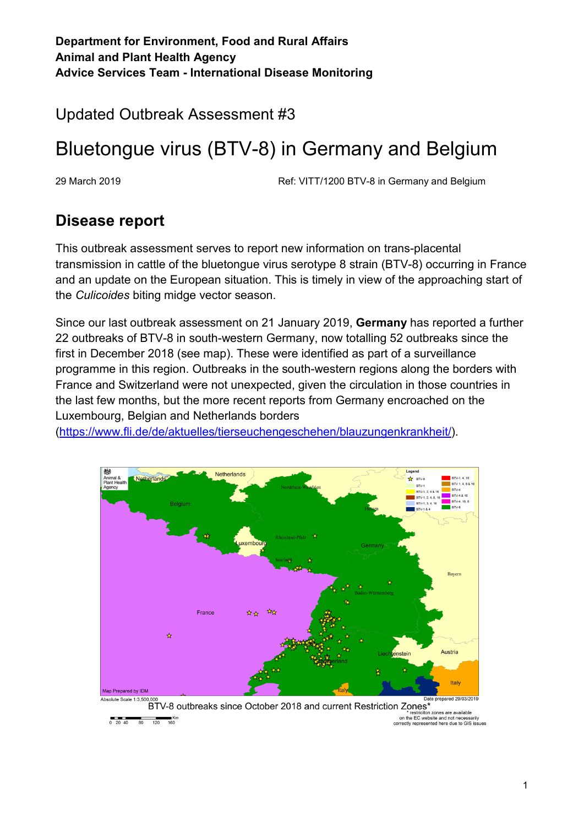Updated Outbreak Assessment #3

# Bluetongue virus (BTV-8) in Germany and Belgium

29 March 2019 Ref: VITT/1200 BTV-8 in Germany and Belgium

### **Disease report**

This outbreak assessment serves to report new information on trans-placental transmission in cattle of the bluetongue virus serotype 8 strain (BTV-8) occurring in France and an update on the European situation. This is timely in view of the approaching start of the *Culicoides* biting midge vector season.

Since our last outbreak assessment on 21 January 2019, **Germany** has reported a further 22 outbreaks of BTV-8 in south-western Germany, now totalling 52 outbreaks since the first in December 2018 (see map). These were identified as part of a surveillance programme in this region. Outbreaks in the south-western regions along the borders with France and Switzerland were not unexpected, given the circulation in those countries in the last few months, but the more recent reports from Germany encroached on the Luxembourg, Belgian and Netherlands borders

[\(https://www.fli.de/de/aktuelles/tierseuchengeschehen/blauzungenkrankheit/\)](https://www.fli.de/de/aktuelles/tierseuchengeschehen/blauzungenkrankheit/).



BTV-8 outbreaks since October 2018 and current Restriction Zones<sup>3</sup> ,<br>on zones are available restriction zones are available<br>on the EC website and not necessari<br>correctly represented here due to GIS is  $Km$ <br>160  $\frac{1}{120}$  $\frac{1}{80}$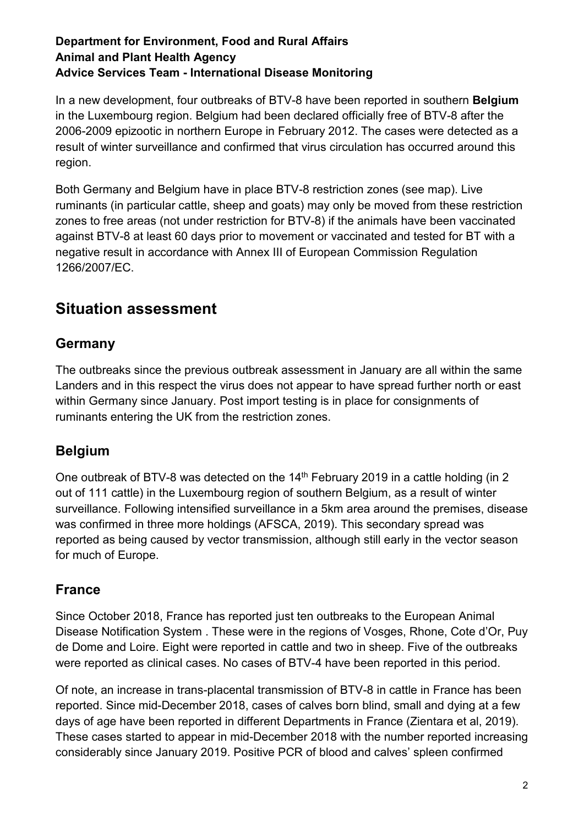In a new development, four outbreaks of BTV-8 have been reported in southern **Belgium** in the Luxembourg region. Belgium had been declared officially free of BTV-8 after the 2006-2009 epizootic in northern Europe in February 2012. The cases were detected as a result of winter surveillance and confirmed that virus circulation has occurred around this region.

Both Germany and Belgium have in place BTV-8 restriction zones (see map). Live ruminants (in particular cattle, sheep and goats) may only be moved from these restriction zones to free areas (not under restriction for BTV-8) if the animals have been vaccinated against BTV-8 at least 60 days prior to movement or vaccinated and tested for BT with a negative result in accordance with Annex III of European Commission Regulation 1266/2007/EC.

## **Situation assessment**

#### **Germany**

The outbreaks since the previous outbreak assessment in January are all within the same Landers and in this respect the virus does not appear to have spread further north or east within Germany since January. Post import testing is in place for consignments of ruminants entering the UK from the restriction zones.

### **Belgium**

One outbreak of BTV-8 was detected on the 14<sup>th</sup> February 2019 in a cattle holding (in 2 out of 111 cattle) in the Luxembourg region of southern Belgium, as a result of winter surveillance. Following intensified surveillance in a 5km area around the premises, disease was confirmed in three more holdings (AFSCA, 2019). This secondary spread was reported as being caused by vector transmission, although still early in the vector season for much of Europe.

#### **France**

Since October 2018, France has reported just ten outbreaks to the European Animal Disease Notification System . These were in the regions of Vosges, Rhone, Cote d'Or, Puy de Dome and Loire. Eight were reported in cattle and two in sheep. Five of the outbreaks were reported as clinical cases. No cases of BTV-4 have been reported in this period.

Of note, an increase in trans-placental transmission of BTV-8 in cattle in France has been reported. Since mid-December 2018, cases of calves born blind, small and dying at a few days of age have been reported in different Departments in France (Zientara et al, 2019). These cases started to appear in mid-December 2018 with the number reported increasing considerably since January 2019. Positive PCR of blood and calves' spleen confirmed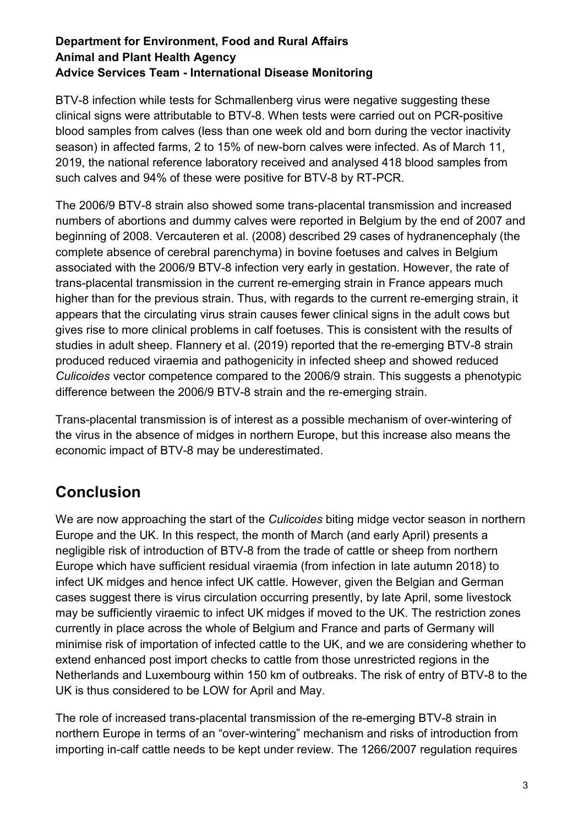BTV-8 infection while tests for Schmallenberg virus were negative suggesting these clinical signs were attributable to BTV-8. When tests were carried out on PCR-positive blood samples from calves (less than one week old and born during the vector inactivity season) in affected farms, 2 to 15% of new-born calves were infected. As of March 11, 2019, the national reference laboratory received and analysed 418 blood samples from such calves and 94% of these were positive for BTV-8 by RT-PCR.

The 2006/9 BTV-8 strain also showed some trans-placental transmission and increased numbers of abortions and dummy calves were reported in Belgium by the end of 2007 and beginning of 2008. Vercauteren et al. (2008) described 29 cases of hydranencephaly (the complete absence of cerebral parenchyma) in bovine foetuses and calves in Belgium associated with the 2006/9 BTV-8 infection very early in gestation. However, the rate of trans-placental transmission in the current re-emerging strain in France appears much higher than for the previous strain. Thus, with regards to the current re-emerging strain, it appears that the circulating virus strain causes fewer clinical signs in the adult cows but gives rise to more clinical problems in calf foetuses. This is consistent with the results of studies in adult sheep. Flannery et al. (2019) reported that the re-emerging BTV-8 strain produced reduced viraemia and pathogenicity in infected sheep and showed reduced *Culicoides* vector competence compared to the 2006/9 strain. This suggests a phenotypic difference between the 2006/9 BTV-8 strain and the re-emerging strain.

Trans-placental transmission is of interest as a possible mechanism of over-wintering of the virus in the absence of midges in northern Europe, but this increase also means the economic impact of BTV-8 may be underestimated.

### **Conclusion**

We are now approaching the start of the *Culicoides* biting midge vector season in northern Europe and the UK. In this respect, the month of March (and early April) presents a negligible risk of introduction of BTV-8 from the trade of cattle or sheep from northern Europe which have sufficient residual viraemia (from infection in late autumn 2018) to infect UK midges and hence infect UK cattle. However, given the Belgian and German cases suggest there is virus circulation occurring presently, by late April, some livestock may be sufficiently viraemic to infect UK midges if moved to the UK. The restriction zones currently in place across the whole of Belgium and France and parts of Germany will minimise risk of importation of infected cattle to the UK, and we are considering whether to extend enhanced post import checks to cattle from those unrestricted regions in the Netherlands and Luxembourg within 150 km of outbreaks. The risk of entry of BTV-8 to the UK is thus considered to be LOW for April and May.

The role of increased trans-placental transmission of the re-emerging BTV-8 strain in northern Europe in terms of an "over-wintering" mechanism and risks of introduction from importing in-calf cattle needs to be kept under review. The 1266/2007 regulation requires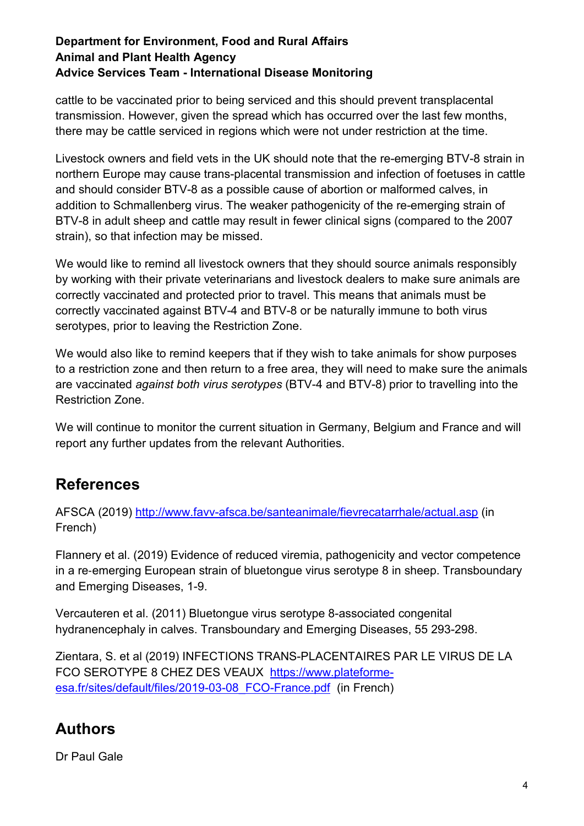cattle to be vaccinated prior to being serviced and this should prevent transplacental transmission. However, given the spread which has occurred over the last few months, there may be cattle serviced in regions which were not under restriction at the time.

Livestock owners and field vets in the UK should note that the re-emerging BTV-8 strain in northern Europe may cause trans-placental transmission and infection of foetuses in cattle and should consider BTV-8 as a possible cause of abortion or malformed calves, in addition to Schmallenberg virus. The weaker pathogenicity of the re-emerging strain of BTV-8 in adult sheep and cattle may result in fewer clinical signs (compared to the 2007 strain), so that infection may be missed.

We would like to remind all livestock owners that they should source animals responsibly by working with their private veterinarians and livestock dealers to make sure animals are correctly vaccinated and protected prior to travel. This means that animals must be correctly vaccinated against BTV-4 and BTV-8 or be naturally immune to both virus serotypes, prior to leaving the Restriction Zone.

We would also like to remind keepers that if they wish to take animals for show purposes to a restriction zone and then return to a free area, they will need to make sure the animals are vaccinated *against both virus serotypes* (BTV-4 and BTV-8) prior to travelling into the Restriction Zone.

We will continue to monitor the current situation in Germany, Belgium and France and will report any further updates from the relevant Authorities.

### **References**

AFSCA (2019)<http://www.favv-afsca.be/santeanimale/fievrecatarrhale/actual.asp> (in French)

Flannery et al. (2019) Evidence of reduced viremia, pathogenicity and vector competence in a re‐emerging European strain of bluetongue virus serotype 8 in sheep. Transboundary and Emerging Diseases, 1-9.

Vercauteren et al. (2011) Bluetongue virus serotype 8-associated congenital hydranencephaly in calves. Transboundary and Emerging Diseases, 55 293-298.

Zientara, S. et al (2019) INFECTIONS TRANS-PLACENTAIRES PAR LE VIRUS DE LA FCO SEROTYPE 8 CHEZ DES VEAUX [https://www.plateforme](https://www.plateforme-esa.fr/sites/default/files/2019-03-08_FCO-France.pdf)[esa.fr/sites/default/files/2019-03-08\\_FCO-France.pdf](https://www.plateforme-esa.fr/sites/default/files/2019-03-08_FCO-France.pdf) (in French)

# **Authors**

Dr Paul Gale